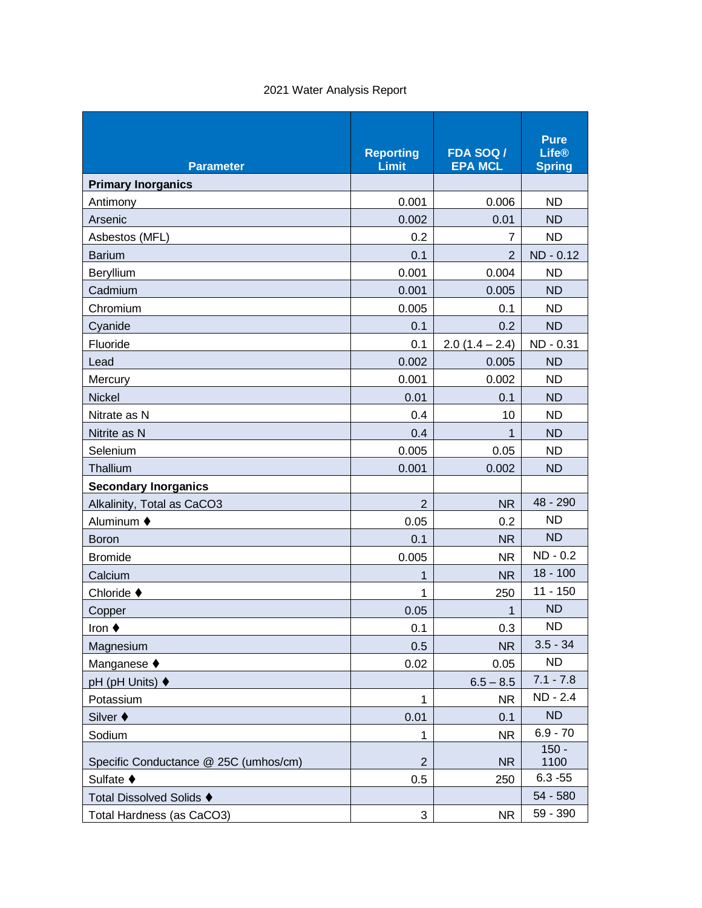| 2021 Water Analysis Report |  |  |  |  |
|----------------------------|--|--|--|--|
|----------------------------|--|--|--|--|

| <b>Parameter</b>                      | <b>Reporting</b><br>Limit | <b>FDA SOQ/</b><br><b>EPA MCL</b> | <b>Pure</b><br><b>Life®</b><br><b>Spring</b> |
|---------------------------------------|---------------------------|-----------------------------------|----------------------------------------------|
| <b>Primary Inorganics</b>             |                           |                                   |                                              |
| Antimony                              | 0.001                     | 0.006                             | <b>ND</b>                                    |
| Arsenic                               | 0.002                     | 0.01                              | <b>ND</b>                                    |
| Asbestos (MFL)                        | 0.2                       | $\overline{7}$                    | <b>ND</b>                                    |
| <b>Barium</b>                         | 0.1                       | $\overline{2}$                    | ND - 0.12                                    |
| Beryllium                             | 0.001                     | 0.004                             | <b>ND</b>                                    |
| Cadmium                               | 0.001                     | 0.005                             | <b>ND</b>                                    |
| Chromium                              | 0.005                     | 0.1                               | <b>ND</b>                                    |
| Cyanide                               | 0.1                       | 0.2                               | <b>ND</b>                                    |
| Fluoride                              | 0.1                       | $2.0(1.4 - 2.4)$                  | ND - 0.31                                    |
| Lead                                  | 0.002                     | 0.005                             | <b>ND</b>                                    |
| Mercury                               | 0.001                     | 0.002                             | <b>ND</b>                                    |
| <b>Nickel</b>                         | 0.01                      | 0.1                               | <b>ND</b>                                    |
| Nitrate as N                          | 0.4                       | 10                                | <b>ND</b>                                    |
| Nitrite as N                          | 0.4                       | 1                                 | <b>ND</b>                                    |
| Selenium                              | 0.005                     | 0.05                              | <b>ND</b>                                    |
| Thallium                              | 0.001                     | 0.002                             | <b>ND</b>                                    |
| <b>Secondary Inorganics</b>           |                           |                                   |                                              |
| Alkalinity, Total as CaCO3            | $\overline{2}$            | <b>NR</b>                         | 48 - 290                                     |
| Aluminum ♦                            | 0.05                      | 0.2                               | <b>ND</b>                                    |
| <b>Boron</b>                          | 0.1                       | <b>NR</b>                         | <b>ND</b>                                    |
| <b>Bromide</b>                        | 0.005                     | <b>NR</b>                         | ND - 0.2                                     |
| Calcium                               | 1                         | <b>NR</b>                         | $18 - 100$                                   |
| Chloride $\blacklozenge$              | 1                         | 250                               | $11 - 150$                                   |
| Copper                                | 0.05                      | 1                                 | <b>ND</b>                                    |
| Iron $\blacklozenge$                  | 0.1                       | 0.3                               | ND                                           |
| Magnesium                             | 0.5                       | <b>NR</b>                         | $3.5 - 34$                                   |
| Manganese ♦                           | 0.02                      | 0.05                              | <b>ND</b>                                    |
| pH (pH Units) ♦                       |                           | $6.5 - 8.5$                       | $7.1 - 7.8$                                  |
| Potassium                             | 1                         | <b>NR</b>                         | ND - 2.4                                     |
| Silver ♦                              | 0.01                      | 0.1                               | <b>ND</b>                                    |
| Sodium                                | 1                         | <b>NR</b>                         | $6.9 - 70$                                   |
| Specific Conductance @ 25C (umhos/cm) | $\overline{2}$            | <b>NR</b>                         | $150 -$<br>1100                              |
| Sulfate ♦                             | 0.5                       | 250                               | $6.3 - 55$                                   |
| Total Dissolved Solids ♦              |                           |                                   | 54 - 580                                     |
| Total Hardness (as CaCO3)             | 3                         | <b>NR</b>                         | 59 - 390                                     |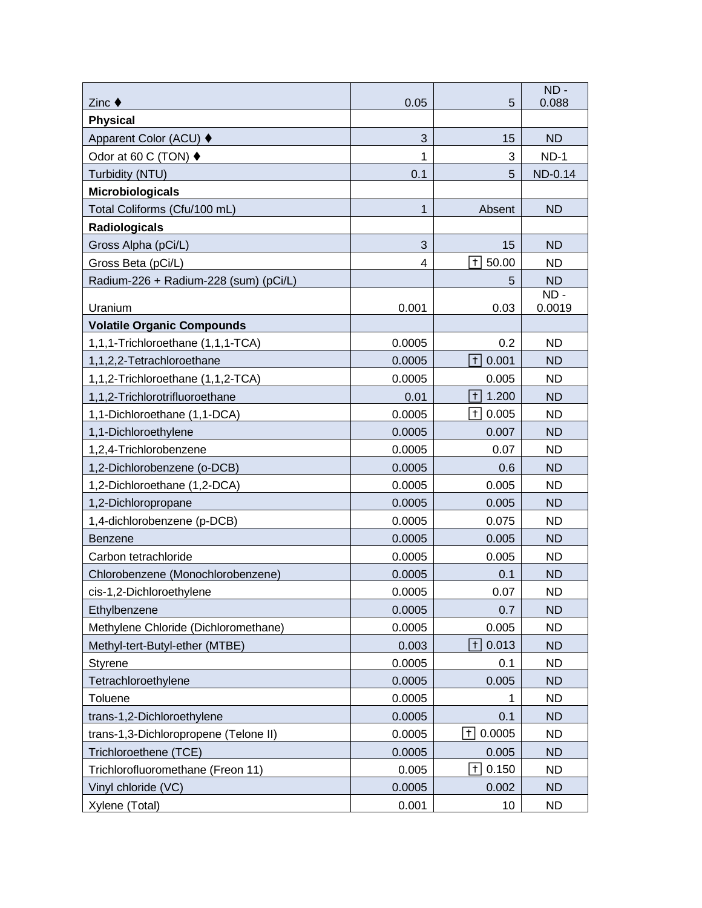| Zinc $\blacklozenge$                          | 0.05             | 5                           | $ND -$<br>0.088        |
|-----------------------------------------------|------------------|-----------------------------|------------------------|
| <b>Physical</b>                               |                  |                             |                        |
| Apparent Color (ACU) ♦                        | 3                | 15                          | <b>ND</b>              |
| Odor at 60 C (TON) ♦                          | 1                | 3                           | $ND-1$                 |
| Turbidity (NTU)                               | 0.1              | 5                           | ND-0.14                |
| <b>Microbiologicals</b>                       |                  |                             |                        |
| Total Coliforms (Cfu/100 mL)                  | 1                | Absent                      | <b>ND</b>              |
| <b>Radiologicals</b>                          |                  |                             |                        |
| Gross Alpha (pCi/L)                           | 3                | 15                          | <b>ND</b>              |
| Gross Beta (pCi/L)                            | 4                | $\overline{+}$<br>50.00     | <b>ND</b>              |
| Radium-226 + Radium-228 (sum) (pCi/L)         |                  | 5                           | <b>ND</b>              |
|                                               |                  |                             | $ND -$                 |
| Uranium                                       | 0.001            | 0.03                        | 0.0019                 |
| <b>Volatile Organic Compounds</b>             |                  |                             |                        |
| 1,1,1-Trichloroethane (1,1,1-TCA)             | 0.0005           | 0.2                         | <b>ND</b>              |
| 1,1,2,2-Tetrachloroethane                     | 0.0005           | $+$<br>0.001                | <b>ND</b>              |
| 1,1,2-Trichloroethane (1,1,2-TCA)             | 0.0005           | 0.005                       | <b>ND</b>              |
| 1,1,2-Trichlorotrifluoroethane                | 0.01             | $\vert \tau \vert$<br>1.200 | <b>ND</b>              |
| 1,1-Dichloroethane (1,1-DCA)                  | 0.0005           | 0.005<br>$+$                | <b>ND</b>              |
| 1,1-Dichloroethylene                          | 0.0005           | 0.007                       | <b>ND</b>              |
| 1,2,4-Trichlorobenzene                        | 0.0005           | 0.07                        | <b>ND</b>              |
| 1,2-Dichlorobenzene (o-DCB)                   | 0.0005           | 0.6                         | <b>ND</b>              |
| 1,2-Dichloroethane (1,2-DCA)                  | 0.0005           | 0.005                       | <b>ND</b>              |
| 1,2-Dichloropropane                           | 0.0005<br>0.0005 | 0.005<br>0.075              | <b>ND</b><br><b>ND</b> |
| 1,4-dichlorobenzene (p-DCB)<br><b>Benzene</b> | 0.0005           | 0.005                       | <b>ND</b>              |
| Carbon tetrachloride                          | 0.0005           | 0.005                       | <b>ND</b>              |
| Chlorobenzene (Monochlorobenzene)             | 0.0005           | 0.1                         | <b>ND</b>              |
| cis-1,2-Dichloroethylene                      | 0.0005           | 0.07                        | <b>ND</b>              |
| Ethylbenzene                                  | 0.0005           | 0.7                         | <b>ND</b>              |
| Methylene Chloride (Dichloromethane)          | 0.0005           | 0.005                       | <b>ND</b>              |
| Methyl-tert-Butyl-ether (MTBE)                | 0.003            | 0.013<br>$ + $              | <b>ND</b>              |
| <b>Styrene</b>                                | 0.0005           | 0.1                         | <b>ND</b>              |
| Tetrachloroethylene                           | 0.0005           | 0.005                       | <b>ND</b>              |
| Toluene                                       | 0.0005           | 1                           | <b>ND</b>              |
| trans-1,2-Dichloroethylene                    | 0.0005           | 0.1                         | <b>ND</b>              |
| trans-1,3-Dichloropropene (Telone II)         | 0.0005           | 0.0005<br>$+$               | <b>ND</b>              |
| Trichloroethene (TCE)                         | 0.0005           | 0.005                       | <b>ND</b>              |
| Trichlorofluoromethane (Freon 11)             | 0.005            | 0.150<br>$+$                | <b>ND</b>              |
| Vinyl chloride (VC)                           | 0.0005           | 0.002                       | <b>ND</b>              |
| Xylene (Total)                                | 0.001            | 10                          | <b>ND</b>              |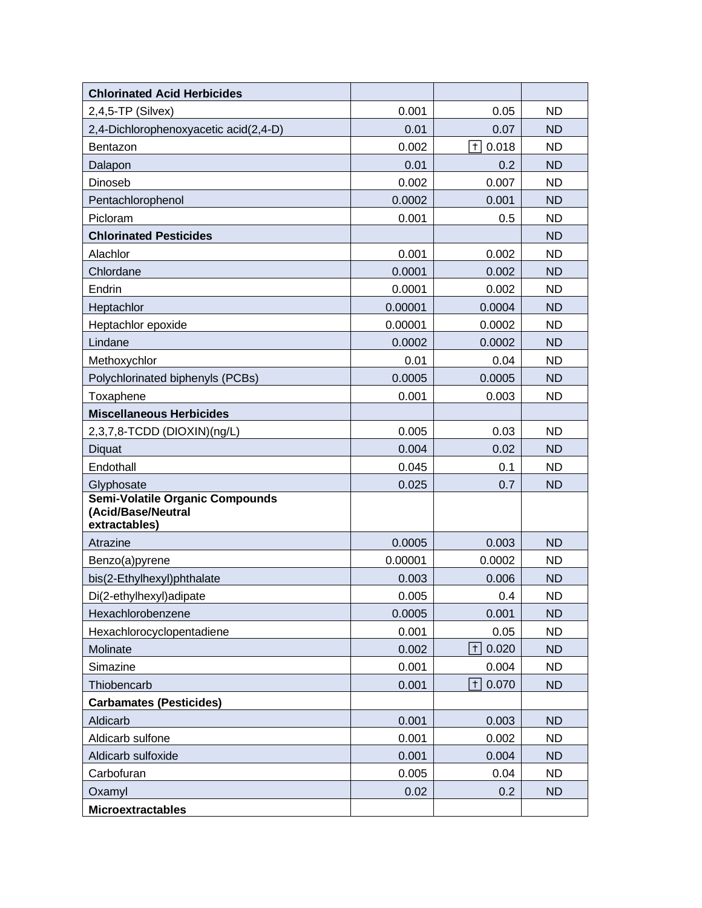| <b>Chlorinated Acid Herbicides</b>                                     |         |                             |           |
|------------------------------------------------------------------------|---------|-----------------------------|-----------|
| $2,4,5$ -TP (Silvex)                                                   | 0.001   | 0.05                        | <b>ND</b> |
| 2,4-Dichlorophenoxyacetic acid(2,4-D)                                  | 0.01    | 0.07                        | <b>ND</b> |
| <b>Bentazon</b>                                                        | 0.002   | $\overline{+}$<br>0.018     | <b>ND</b> |
| Dalapon                                                                | 0.01    | 0.2                         | <b>ND</b> |
| Dinoseb                                                                | 0.002   | 0.007                       | <b>ND</b> |
| Pentachlorophenol                                                      | 0.0002  | 0.001                       | <b>ND</b> |
| Picloram                                                               | 0.001   | 0.5                         | <b>ND</b> |
| <b>Chlorinated Pesticides</b>                                          |         |                             | <b>ND</b> |
| Alachlor                                                               | 0.001   | 0.002                       | <b>ND</b> |
| Chlordane                                                              | 0.0001  | 0.002                       | <b>ND</b> |
| Endrin                                                                 | 0.0001  | 0.002                       | <b>ND</b> |
| Heptachlor                                                             | 0.00001 | 0.0004                      | <b>ND</b> |
| Heptachlor epoxide                                                     | 0.00001 | 0.0002                      | <b>ND</b> |
| Lindane                                                                | 0.0002  | 0.0002                      | <b>ND</b> |
| Methoxychlor                                                           | 0.01    | 0.04                        | <b>ND</b> |
| Polychlorinated biphenyls (PCBs)                                       | 0.0005  | 0.0005                      | <b>ND</b> |
| Toxaphene                                                              | 0.001   | 0.003                       | <b>ND</b> |
| <b>Miscellaneous Herbicides</b>                                        |         |                             |           |
| 2,3,7,8-TCDD (DIOXIN)(ng/L)                                            | 0.005   | 0.03                        | <b>ND</b> |
| Diquat                                                                 | 0.004   | 0.02                        | <b>ND</b> |
| Endothall                                                              | 0.045   | 0.1                         | <b>ND</b> |
| Glyphosate                                                             | 0.025   | 0.7                         | <b>ND</b> |
| Semi-Volatile Organic Compounds<br>(Acid/Base/Neutral<br>extractables) |         |                             |           |
| Atrazine                                                               | 0.0005  | 0.003                       | <b>ND</b> |
| Benzo(a)pyrene                                                         | 0.00001 | 0.0002                      | <b>ND</b> |
| bis(2-Ethylhexyl)phthalate                                             | 0.003   | 0.006                       | <b>ND</b> |
| Di(2-ethylhexyl)adipate                                                | 0.005   | 0.4                         | <b>ND</b> |
| Hexachlorobenzene                                                      | 0.0005  | 0.001                       | <b>ND</b> |
| Hexachlorocyclopentadiene                                              | 0.001   | 0.05                        | <b>ND</b> |
| Molinate                                                               | 0.002   | 0.020<br>$+$                | <b>ND</b> |
| Simazine                                                               | 0.001   | 0.004                       | <b>ND</b> |
| Thiobencarb                                                            | 0.001   | $\vert \tau \vert$<br>0.070 | <b>ND</b> |
| <b>Carbamates (Pesticides)</b>                                         |         |                             |           |
| Aldicarb                                                               | 0.001   | 0.003                       | <b>ND</b> |
| Aldicarb sulfone                                                       | 0.001   | 0.002                       | <b>ND</b> |
| Aldicarb sulfoxide                                                     | 0.001   | 0.004                       | <b>ND</b> |
| Carbofuran                                                             | 0.005   | 0.04                        | <b>ND</b> |
| Oxamyl                                                                 | 0.02    | 0.2                         | <b>ND</b> |
| <b>Microextractables</b>                                               |         |                             |           |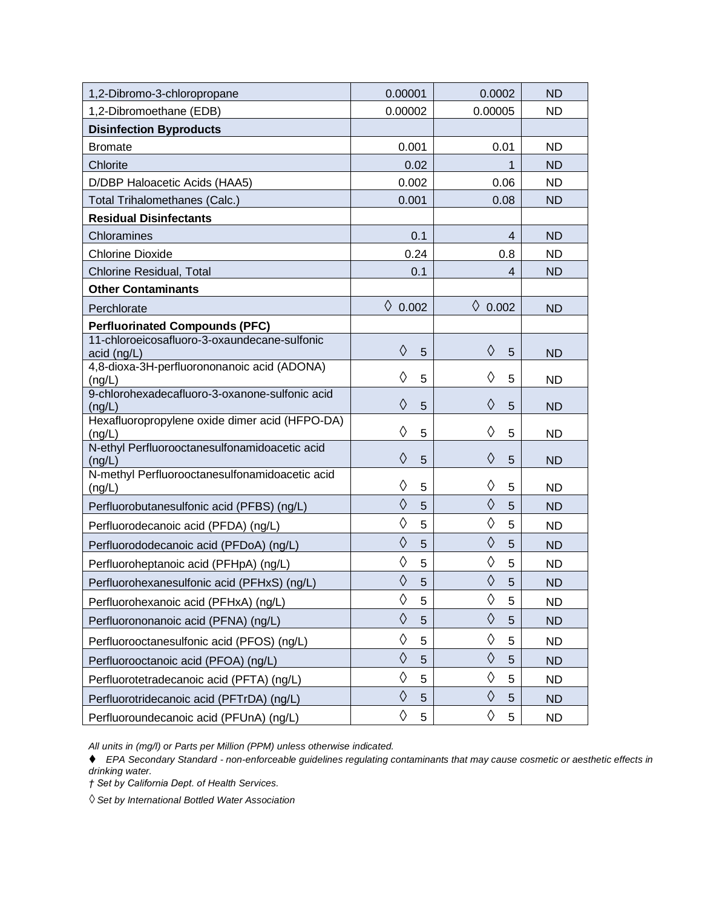| 1,2-Dibromo-3-chloropropane                                 | 0.00001         | 0.0002           | <b>ND</b> |
|-------------------------------------------------------------|-----------------|------------------|-----------|
| 1,2-Dibromoethane (EDB)                                     | 0.00002         | 0.00005          | ND        |
| <b>Disinfection Byproducts</b>                              |                 |                  |           |
| <b>Bromate</b>                                              | 0.001           | 0.01             | <b>ND</b> |
| Chlorite                                                    | 0.02            | 1                | <b>ND</b> |
| D/DBP Haloacetic Acids (HAA5)                               | 0.002           | 0.06             | <b>ND</b> |
| <b>Total Trihalomethanes (Calc.)</b>                        | 0.001           | 0.08             | <b>ND</b> |
| <b>Residual Disinfectants</b>                               |                 |                  |           |
| Chloramines                                                 | 0.1             | 4                | <b>ND</b> |
| <b>Chlorine Dioxide</b>                                     | 0.24            | 0.8              | <b>ND</b> |
| Chlorine Residual, Total                                    | 0.1             | 4                | <b>ND</b> |
| <b>Other Contaminants</b>                                   |                 |                  |           |
| Perchlorate                                                 | ♦<br>0.002      | $\lozenge$ 0.002 | <b>ND</b> |
| <b>Perfluorinated Compounds (PFC)</b>                       |                 |                  |           |
| 11-chloroeicosafluoro-3-oxaundecane-sulfonic<br>acid (ng/L) | ♦<br>5          | ♦<br>5           | <b>ND</b> |
| 4,8-dioxa-3H-perfluorononanoic acid (ADONA)                 |                 |                  |           |
| (nq/L)                                                      | ♦<br>5          | ♦<br>5           | <b>ND</b> |
| 9-chlorohexadecafluoro-3-oxanone-sulfonic acid<br>(nq/L)    | ♦<br>5          | ♦<br>5           | <b>ND</b> |
| Hexafluoropropylene oxide dimer acid (HFPO-DA)<br>(ng/L)    | ♦<br>5          | ♦<br>5           | <b>ND</b> |
| N-ethyl Perfluorooctanesulfonamidoacetic acid<br>(ng/L)     | ♦<br>5          | ♦<br>5           | <b>ND</b> |
| N-methyl Perfluorooctanesulfonamidoacetic acid<br>(ng/L)    | ♦<br>5          | ♦<br>5           | <b>ND</b> |
| Perfluorobutanesulfonic acid (PFBS) (ng/L)                  | ♦<br>5          | ♦<br>5           | <b>ND</b> |
| Perfluorodecanoic acid (PFDA) (ng/L)                        | ♦<br>5          | ♦<br>5           | <b>ND</b> |
| Perfluorododecanoic acid (PFDoA) (ng/L)                     | ♦<br>5          | ♦<br>5           | <b>ND</b> |
| Perfluoroheptanoic acid (PFHpA) (ng/L)                      | ♦<br>5          | ♦<br>5           | <b>ND</b> |
| Perfluorohexanesulfonic acid (PFHxS) (ng/L)                 | ♦<br>5          | ♦<br>5           | <b>ND</b> |
| Perfluorohexanoic acid (PFHxA) (ng/L)                       | $\Diamond$<br>5 | $\Diamond$<br>5  | <b>ND</b> |
| Perfluorononanoic acid (PFNA) (ng/L)                        | ♦<br>5          | ♦<br>5           | <b>ND</b> |
| Perfluorooctanesulfonic acid (PFOS) (ng/L)                  | ♦<br>5          | ♦<br>5           | <b>ND</b> |
| Perfluorooctanoic acid (PFOA) (ng/L)                        | ♦<br>5          | ♦<br>5           | <b>ND</b> |
| Perfluorotetradecanoic acid (PFTA) (ng/L)                   | ♦<br>5          | ♦<br>5           | <b>ND</b> |
| Perfluorotridecanoic acid (PFTrDA) (ng/L)                   | ♦<br>5          | ♦<br>5           | <b>ND</b> |
| Perfluoroundecanoic acid (PFUnA) (ng/L)                     | ♦<br>5          | ♦<br>5           | <b>ND</b> |

*All units in (mg/l) or Parts per Million (PPM) unless otherwise indicated.* 

⧫ *EPA Secondary Standard - non-enforceable guidelines regulating contaminants that may cause cosmetic or aesthetic effects in drinking water.* 

*† Set by California Dept. of Health Services.* 

*◊ Set by International Bottled Water Association*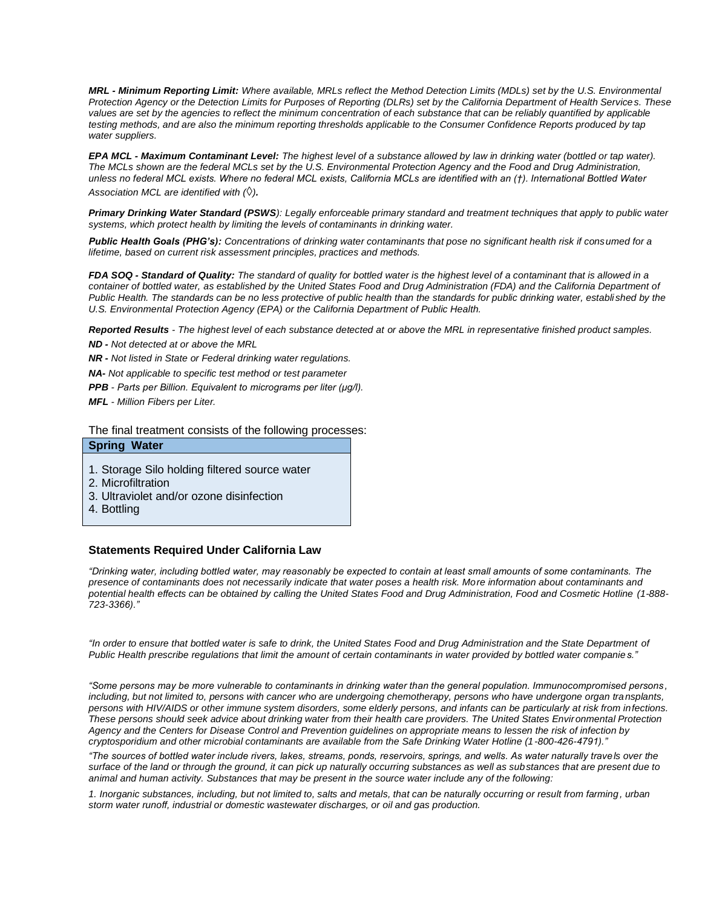*MRL - Minimum Reporting Limit: Where available, MRLs reflect the Method Detection Limits (MDLs) set by the U.S. Environmental Protection Agency or the Detection Limits for Purposes of Reporting (DLRs) set by the California Department of Health Services. These*  values are set by the agencies to reflect the minimum concentration of each substance that can be reliably quantified by applicable *testing methods, and are also the minimum reporting thresholds applicable to the Consumer Confidence Reports produced by tap water suppliers.* 

*EPA MCL - Maximum Contaminant Level: The highest level of a substance allowed by law in drinking water (bottled or tap water). The MCLs shown are the federal MCLs set by the U.S. Environmental Protection Agency and the Food and Drug Administration, unless no federal MCL exists. Where no federal MCL exists, California MCLs are identified with an (†). International Bottled Water Association MCL are identified with (*◊*).*

*Primary Drinking Water Standard (PSWS): Legally enforceable primary standard and treatment techniques that apply to public water systems, which protect health by limiting the levels of contaminants in drinking water.* 

*Public Health Goals (PHG's): Concentrations of drinking water contaminants that pose no significant health risk if consumed for a lifetime, based on current risk assessment principles, practices and methods.* 

*FDA SOQ - Standard of Quality: The standard of quality for bottled water is the highest level of a contaminant that is allowed in a container of bottled water, as established by the United States Food and Drug Administration (FDA) and the California Department of Public Health. The standards can be no less protective of public health than the standards for public drinking water, establi shed by the U.S. Environmental Protection Agency (EPA) or the California Department of Public Health.* 

*Reported Results - The highest level of each substance detected at or above the MRL in representative finished product samples. ND - Not detected at or above the MRL* 

*NR - Not listed in State or Federal drinking water regulations.* 

*NA- Not applicable to specific test method or test parameter* 

*PPB - Parts per Billion. Equivalent to micrograms per liter (μg/l).* 

*MFL - Million Fibers per Liter.* 

The final treatment consists of the following processes:

## **Spring Water**

- 1. Storage Silo holding filtered source water
- 2. Microfiltration
- 3. Ultraviolet and/or ozone disinfection
- 4. Bottling

## **Statements Required Under California Law**

*"Drinking water, including bottled water, may reasonably be expected to contain at least small amounts of some contaminants. The presence of contaminants does not necessarily indicate that water poses a health risk. More information about contaminants and potential health effects can be obtained by calling the United States Food and Drug Administration, Food and Cosmetic Hotline (1-888- 723-3366)."* 

*"In order to ensure that bottled water is safe to drink, the United States Food and Drug Administration and the State Department of Public Health prescribe regulations that limit the amount of certain contaminants in water provided by bottled water companies."*

*"Some persons may be more vulnerable to contaminants in drinking water than the general population. Immunocompromised persons , including, but not limited to, persons with cancer who are undergoing chemotherapy, persons who have undergone organ tra nsplants, persons with HIV/AIDS or other immune system disorders, some elderly persons, and infants can be particularly at risk from infections. These persons should seek advice about drinking water from their health care providers. The United States Environmental Protection Agency and the Centers for Disease Control and Prevention guidelines on appropriate means to lessen the risk of infection by cryptosporidium and other microbial contaminants are available from the Safe Drinking Water Hotline (1-800-426-4791)."* 

*"The sources of bottled water include rivers, lakes, streams, ponds, reservoirs, springs, and wells. As water naturally travels over the surface of the land or through the ground, it can pick up naturally occurring substances as well as substances that are present due to animal and human activity. Substances that may be present in the source water include any of the following:* 

*1. Inorganic substances, including, but not limited to, salts and metals, that can be naturally occurring or result from farming, urban storm water runoff, industrial or domestic wastewater discharges, or oil and gas production.*